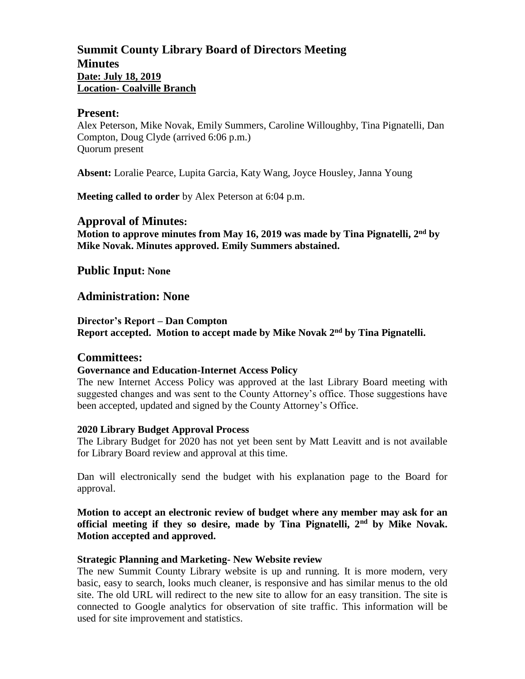# **Summit County Library Board of Directors Meeting Minutes Date: July 18, 2019 Location- Coalville Branch**

### **Present:**

Alex Peterson, Mike Novak, Emily Summers, Caroline Willoughby, Tina Pignatelli, Dan Compton, Doug Clyde (arrived 6:06 p.m.) Quorum present

**Absent:** Loralie Pearce, Lupita Garcia, Katy Wang, Joyce Housley, Janna Young

**Meeting called to order** by Alex Peterson at 6:04 p.m.

## **Approval of Minutes:**

**Motion to approve minutes from May 16, 2019 was made by Tina Pignatelli, 2 nd by Mike Novak. Minutes approved. Emily Summers abstained.**

**Public Input: None**

# **Administration: None**

**Director's Report – Dan Compton Report accepted. Motion to accept made by Mike Novak 2nd by Tina Pignatelli.**

## **Committees:**

## **Governance and Education-Internet Access Policy**

The new Internet Access Policy was approved at the last Library Board meeting with suggested changes and was sent to the County Attorney's office. Those suggestions have been accepted, updated and signed by the County Attorney's Office.

#### **2020 Library Budget Approval Process**

The Library Budget for 2020 has not yet been sent by Matt Leavitt and is not available for Library Board review and approval at this time.

Dan will electronically send the budget with his explanation page to the Board for approval.

**Motion to accept an electronic review of budget where any member may ask for an official meeting if they so desire, made by Tina Pignatelli, 2nd by Mike Novak. Motion accepted and approved.**

#### **Strategic Planning and Marketing- New Website review**

The new Summit County Library website is up and running. It is more modern, very basic, easy to search, looks much cleaner, is responsive and has similar menus to the old site. The old URL will redirect to the new site to allow for an easy transition. The site is connected to Google analytics for observation of site traffic. This information will be used for site improvement and statistics.